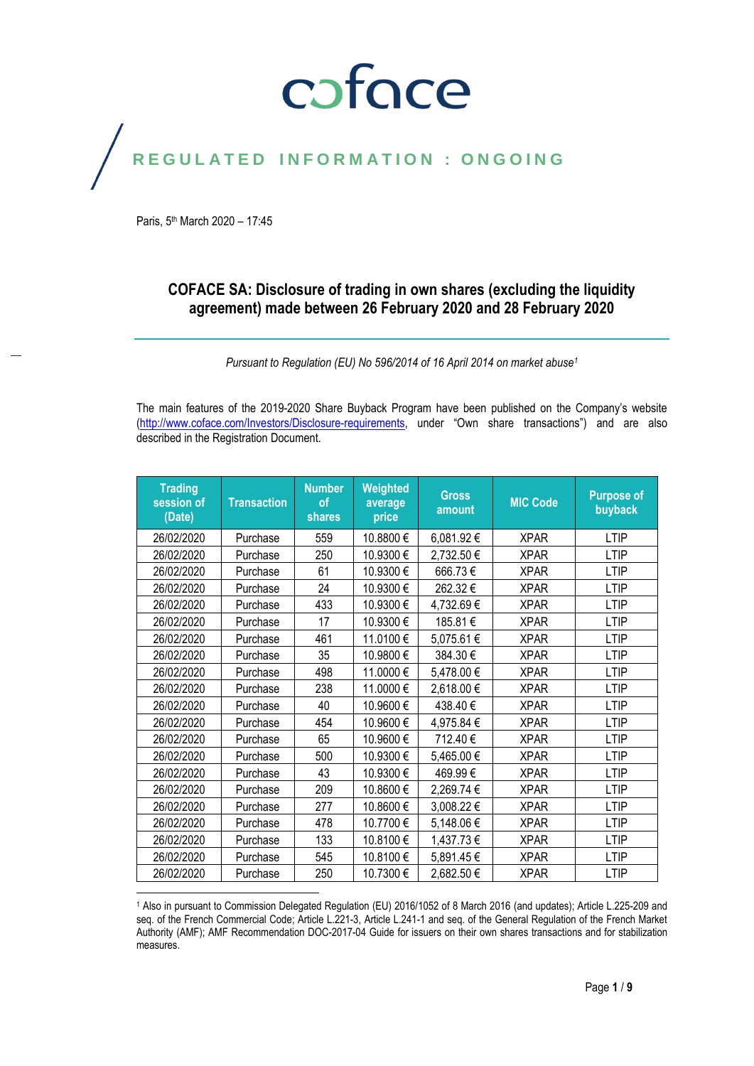### coface

## REGULATED INFORMATION : ONGOING

Paris, 5<sup>th</sup> March 2020 - 17:45

 $\overline{\phantom{a}}$ 

#### **COFACE SA: Disclosure of trading in own shares (excluding the liquidity agreement) made between 26 February 2020 and 28 February 2020**

*Pursuant to Regulation (EU) No 596/2014 of 16 April 2014 on market abuse<sup>1</sup>*

The main features of the 2019-2020 Share Buyback Program have been published on the Company's website [\(http://www.coface.com/Investors/Disclosure-requirements](http://www.coface.com/Investors/Disclosure-requirements), under "Own share transactions") and are also described in the Registration Document.

| <b>Trading</b><br>session of<br>(Date) | <b>Transaction</b> | <b>Number</b><br>of<br><b>shares</b> | Weighted<br>average<br>price | <b>Gross</b><br>amount | <b>MIC Code</b> | <b>Purpose of</b><br>buyback |
|----------------------------------------|--------------------|--------------------------------------|------------------------------|------------------------|-----------------|------------------------------|
| 26/02/2020                             | Purchase           | 559                                  | 10.8800€                     | 6,081.92€              | <b>XPAR</b>     | <b>LTIP</b>                  |
| 26/02/2020                             | Purchase           | 250                                  | 10.9300€                     | 2,732.50 €             | <b>XPAR</b>     | <b>LTIP</b>                  |
| 26/02/2020                             | Purchase           | 61                                   | 10.9300€                     | 666.73€                | <b>XPAR</b>     | <b>LTIP</b>                  |
| 26/02/2020                             | Purchase           | 24                                   | 10.9300€                     | 262.32€                | <b>XPAR</b>     | <b>LTIP</b>                  |
| 26/02/2020                             | Purchase           | 433                                  | 10.9300€                     | 4,732.69€              | <b>XPAR</b>     | <b>LTIP</b>                  |
| 26/02/2020                             | Purchase           | 17                                   | 10.9300€                     | 185.81€                | <b>XPAR</b>     | <b>LTIP</b>                  |
| 26/02/2020                             | Purchase           | 461                                  | 11.0100€                     | 5,075.61 €             | <b>XPAR</b>     | <b>LTIP</b>                  |
| 26/02/2020                             | Purchase           | 35                                   | 10.9800€                     | 384.30€                | <b>XPAR</b>     | <b>LTIP</b>                  |
| 26/02/2020                             | Purchase           | 498                                  | 11.0000€                     | 5,478.00 €             | <b>XPAR</b>     | <b>LTIP</b>                  |
| 26/02/2020                             | Purchase           | 238                                  | 11.0000€                     | 2,618.00 €             | <b>XPAR</b>     | <b>LTIP</b>                  |
| 26/02/2020                             | Purchase           | 40                                   | 10.9600€                     | 438.40€                | <b>XPAR</b>     | <b>LTIP</b>                  |
| 26/02/2020                             | Purchase           | 454                                  | 10.9600€                     | 4,975.84 €             | <b>XPAR</b>     | <b>LTIP</b>                  |
| 26/02/2020                             | Purchase           | 65                                   | 10.9600€                     | 712.40€                | <b>XPAR</b>     | <b>LTIP</b>                  |
| 26/02/2020                             | Purchase           | 500                                  | 10.9300€                     | 5,465.00 €             | <b>XPAR</b>     | <b>LTIP</b>                  |
| 26/02/2020                             | Purchase           | 43                                   | 10.9300€                     | 469.99€                | <b>XPAR</b>     | LTIP                         |
| 26/02/2020                             | Purchase           | 209                                  | 10.8600€                     | 2,269.74 €             | <b>XPAR</b>     | <b>LTIP</b>                  |
| 26/02/2020                             | Purchase           | 277                                  | 10.8600€                     | 3,008.22 €             | <b>XPAR</b>     | LTIP                         |
| 26/02/2020                             | Purchase           | 478                                  | 10.7700€                     | 5,148.06 €             | <b>XPAR</b>     | <b>LTIP</b>                  |
| 26/02/2020                             | Purchase           | 133                                  | 10.8100€                     | 1,437.73€              | <b>XPAR</b>     | <b>LTIP</b>                  |
| 26/02/2020                             | Purchase           | 545                                  | 10.8100€                     | 5,891.45€              | <b>XPAR</b>     | <b>LTIP</b>                  |
| 26/02/2020                             | Purchase           | 250                                  | 10.7300€                     | 2,682.50€              | <b>XPAR</b>     | <b>LTIP</b>                  |

<sup>1</sup> Also in pursuant to Commission Delegated Regulation (EU) 2016/1052 of 8 March 2016 (and updates); Article L.225-209 and seq. of the French Commercial Code; Article L.221-3, Article L.241-1 and seq. of the General Regulation of the French Market Authority (AMF); AMF Recommendation DOC-2017-04 Guide for issuers on their own shares transactions and for stabilization measures.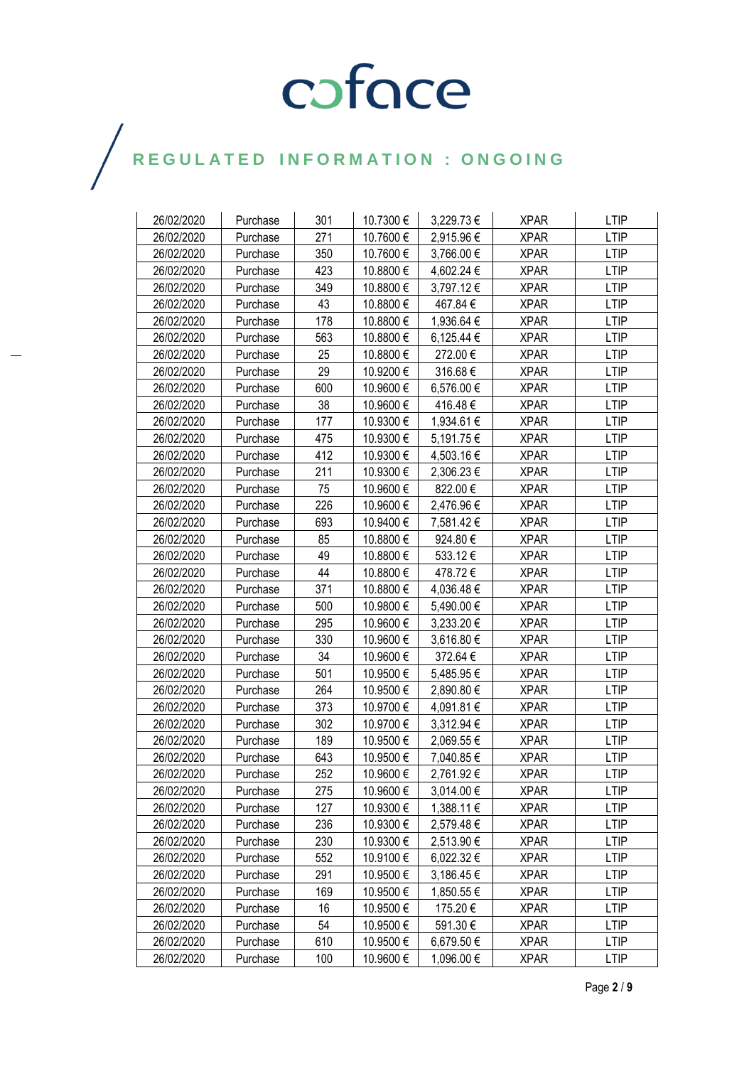| 26/02/2020 | Purchase | 301 | 10.7300 € | 3,229.73 € | <b>XPAR</b> | <b>LTIP</b> |
|------------|----------|-----|-----------|------------|-------------|-------------|
| 26/02/2020 | Purchase | 271 | 10.7600€  | 2,915.96€  | <b>XPAR</b> | <b>LTIP</b> |
| 26/02/2020 | Purchase | 350 | 10.7600€  | 3,766.00 € | <b>XPAR</b> | <b>LTIP</b> |
| 26/02/2020 | Purchase | 423 | 10.8800€  | 4,602.24 € | <b>XPAR</b> | <b>LTIP</b> |
| 26/02/2020 | Purchase | 349 | 10.8800€  | 3,797.12 € | <b>XPAR</b> | <b>LTIP</b> |
| 26/02/2020 | Purchase | 43  | 10.8800 € | 467.84€    | <b>XPAR</b> | <b>LTIP</b> |
| 26/02/2020 | Purchase | 178 | 10.8800 € | 1,936.64 € | <b>XPAR</b> | <b>LTIP</b> |
| 26/02/2020 | Purchase | 563 | 10.8800€  | 6,125.44 € | <b>XPAR</b> | <b>LTIP</b> |
| 26/02/2020 | Purchase | 25  | 10.8800 € | 272.00€    | <b>XPAR</b> | <b>LTIP</b> |
| 26/02/2020 | Purchase | 29  | 10.9200 € | 316.68€    | <b>XPAR</b> | <b>LTIP</b> |
| 26/02/2020 | Purchase | 600 | 10.9600€  | 6,576.00 € | <b>XPAR</b> | <b>LTIP</b> |
| 26/02/2020 | Purchase | 38  | 10.9600 € | 416.48€    | <b>XPAR</b> | <b>LTIP</b> |
| 26/02/2020 | Purchase | 177 | 10.9300 € | 1,934.61 € | <b>XPAR</b> | <b>LTIP</b> |
| 26/02/2020 | Purchase | 475 | 10.9300€  | 5,191.75€  | <b>XPAR</b> | <b>LTIP</b> |
| 26/02/2020 | Purchase | 412 | 10.9300€  | 4,503.16 € | <b>XPAR</b> | <b>LTIP</b> |
| 26/02/2020 | Purchase | 211 | 10.9300 € | 2,306.23€  | <b>XPAR</b> | <b>LTIP</b> |
| 26/02/2020 | Purchase | 75  | 10.9600 € | 822.00€    | <b>XPAR</b> | <b>LTIP</b> |
| 26/02/2020 | Purchase | 226 | 10.9600€  | 2,476.96 € | <b>XPAR</b> | <b>LTIP</b> |
| 26/02/2020 | Purchase | 693 | 10.9400€  | 7,581.42 € | <b>XPAR</b> | <b>LTIP</b> |
| 26/02/2020 | Purchase | 85  | 10.8800 € | 924.80€    | <b>XPAR</b> | <b>LTIP</b> |
| 26/02/2020 | Purchase | 49  | 10.8800 € | 533.12€    | <b>XPAR</b> | <b>LTIP</b> |
| 26/02/2020 | Purchase | 44  | 10.8800€  | 478.72€    | <b>XPAR</b> | <b>LTIP</b> |
| 26/02/2020 | Purchase | 371 | 10.8800€  | 4,036.48 € | <b>XPAR</b> | <b>LTIP</b> |
| 26/02/2020 | Purchase | 500 | 10.9800€  | 5,490.00 € | <b>XPAR</b> | <b>LTIP</b> |
| 26/02/2020 | Purchase | 295 | 10.9600 € | 3,233.20 € | <b>XPAR</b> | <b>LTIP</b> |
| 26/02/2020 | Purchase | 330 | 10.9600 € | 3,616.80 € | <b>XPAR</b> | <b>LTIP</b> |
| 26/02/2020 | Purchase | 34  | 10.9600 € | 372.64 €   | <b>XPAR</b> | <b>LTIP</b> |
| 26/02/2020 | Purchase | 501 | 10.9500€  | 5,485.95 € | <b>XPAR</b> | <b>LTIP</b> |
| 26/02/2020 | Purchase | 264 | 10.9500€  | 2,890.80 € | <b>XPAR</b> | <b>LTIP</b> |
| 26/02/2020 | Purchase | 373 | 10.9700 € | 4,091.81 € | <b>XPAR</b> | <b>LTIP</b> |
| 26/02/2020 | Purchase | 302 | 10.9700€  | 3,312.94 € | <b>XPAR</b> | <b>LTIP</b> |
| 26/02/2020 | Purchase | 189 | 10.9500€  | 2,069.55€  | <b>XPAR</b> | <b>LTIP</b> |
| 26/02/2020 | Purchase | 643 | 10.9500€  | 7,040.85 € | <b>XPAR</b> | <b>LTIP</b> |
| 26/02/2020 | Purchase | 252 | 10.9600€  | 2,761.92€  | <b>XPAR</b> | <b>LTIP</b> |
| 26/02/2020 | Purchase | 275 | 10.9600 € | 3,014.00 € | <b>XPAR</b> | <b>LTIP</b> |
| 26/02/2020 | Purchase | 127 | 10.9300 € | 1,388.11 € | <b>XPAR</b> | <b>LTIP</b> |
| 26/02/2020 | Purchase | 236 | 10.9300 € | 2,579.48 € | <b>XPAR</b> | <b>LTIP</b> |
| 26/02/2020 | Purchase | 230 | 10.9300 € | 2,513.90 € | <b>XPAR</b> | <b>LTIP</b> |
| 26/02/2020 | Purchase | 552 | 10.9100 € | 6,022.32 € | <b>XPAR</b> | <b>LTIP</b> |
| 26/02/2020 | Purchase | 291 | 10.9500 € | 3,186.45 € | <b>XPAR</b> | <b>LTIP</b> |
| 26/02/2020 | Purchase | 169 | 10.9500 € | 1,850.55 € | <b>XPAR</b> | <b>LTIP</b> |
| 26/02/2020 | Purchase | 16  | 10.9500 € | 175.20€    | <b>XPAR</b> | <b>LTIP</b> |
| 26/02/2020 | Purchase | 54  | 10.9500€  | 591.30€    | <b>XPAR</b> | <b>LTIP</b> |
| 26/02/2020 | Purchase | 610 | 10.9500 € | 6,679.50 € | <b>XPAR</b> | <b>LTIP</b> |
| 26/02/2020 | Purchase | 100 | 10.9600 € | 1,096.00 € | <b>XPAR</b> | <b>LTIP</b> |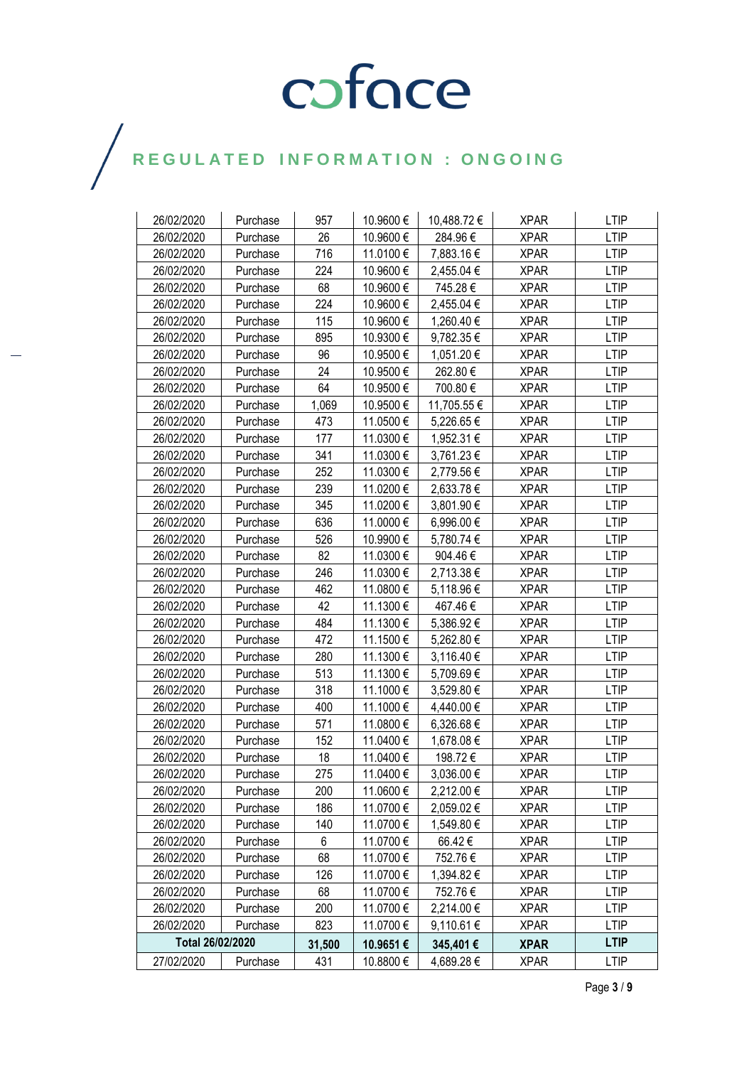| 26/02/2020       | Purchase | 957    | 10.9600 € | 10,488.72 € | <b>XPAR</b> | <b>LTIP</b> |
|------------------|----------|--------|-----------|-------------|-------------|-------------|
| 26/02/2020       | Purchase | 26     | 10.9600€  | 284.96€     | <b>XPAR</b> | <b>LTIP</b> |
| 26/02/2020       | Purchase | 716    | 11.0100 € | 7,883.16 €  | <b>XPAR</b> | <b>LTIP</b> |
| 26/02/2020       | Purchase | 224    | 10.9600€  | 2,455.04 €  | <b>XPAR</b> | <b>LTIP</b> |
| 26/02/2020       | Purchase | 68     | 10.9600€  | 745.28€     | <b>XPAR</b> | <b>LTIP</b> |
| 26/02/2020       | Purchase | 224    | 10.9600€  | 2,455.04 €  | <b>XPAR</b> | <b>LTIP</b> |
| 26/02/2020       | Purchase | 115    | 10.9600€  | 1,260.40 €  | <b>XPAR</b> | <b>LTIP</b> |
| 26/02/2020       | Purchase | 895    | 10.9300€  | 9,782.35€   | <b>XPAR</b> | <b>LTIP</b> |
| 26/02/2020       | Purchase | 96     | 10.9500€  | 1,051.20 €  | <b>XPAR</b> | <b>LTIP</b> |
| 26/02/2020       | Purchase | 24     | 10.9500€  | 262.80€     | <b>XPAR</b> | <b>LTIP</b> |
| 26/02/2020       | Purchase | 64     | 10.9500€  | 700.80€     | <b>XPAR</b> | <b>LTIP</b> |
| 26/02/2020       | Purchase | 1,069  | 10.9500 € | 11,705.55 € | <b>XPAR</b> | LTIP        |
| 26/02/2020       | Purchase | 473    | 11.0500€  | 5,226.65 €  | <b>XPAR</b> | <b>LTIP</b> |
| 26/02/2020       | Purchase | 177    | 11.0300 € | 1,952.31 €  | <b>XPAR</b> | <b>LTIP</b> |
| 26/02/2020       | Purchase | 341    | 11.0300€  | 3,761.23 €  | <b>XPAR</b> | <b>LTIP</b> |
| 26/02/2020       | Purchase | 252    | 11.0300 € | 2,779.56 €  | <b>XPAR</b> | <b>LTIP</b> |
| 26/02/2020       | Purchase | 239    | 11.0200€  | 2,633.78 €  | <b>XPAR</b> | LTIP        |
| 26/02/2020       | Purchase | 345    | 11.0200€  | 3,801.90 €  | <b>XPAR</b> | <b>LTIP</b> |
| 26/02/2020       | Purchase | 636    | 11.0000 € | 6,996.00 €  | <b>XPAR</b> | <b>LTIP</b> |
| 26/02/2020       | Purchase | 526    | 10.9900€  | 5,780.74 €  | <b>XPAR</b> | <b>LTIP</b> |
| 26/02/2020       | Purchase | 82     | 11.0300 € | 904.46€     | <b>XPAR</b> | <b>LTIP</b> |
| 26/02/2020       | Purchase | 246    | 11.0300€  | 2,713.38 €  | <b>XPAR</b> | <b>LTIP</b> |
| 26/02/2020       | Purchase | 462    | 11.0800€  | 5,118.96 €  | <b>XPAR</b> | <b>LTIP</b> |
| 26/02/2020       | Purchase | 42     | 11.1300€  | 467.46€     | <b>XPAR</b> | <b>LTIP</b> |
| 26/02/2020       | Purchase | 484    | 11.1300 € | 5,386.92 €  | <b>XPAR</b> | <b>LTIP</b> |
| 26/02/2020       | Purchase | 472    | 11.1500€  | 5,262.80 €  | <b>XPAR</b> | <b>LTIP</b> |
| 26/02/2020       | Purchase | 280    | 11.1300€  | 3,116.40 €  | <b>XPAR</b> | <b>LTIP</b> |
| 26/02/2020       | Purchase | 513    | 11.1300€  | 5,709.69€   | <b>XPAR</b> | <b>LTIP</b> |
| 26/02/2020       | Purchase | 318    | 11.1000€  | 3,529.80 €  | <b>XPAR</b> | <b>LTIP</b> |
| 26/02/2020       | Purchase | 400    | 11.1000€  | 4,440.00 €  | <b>XPAR</b> | <b>LTIP</b> |
| 26/02/2020       | Purchase | 571    | 11.0800€  | 6,326.68 €  | <b>XPAR</b> | <b>LTIP</b> |
| 26/02/2020       | Purchase | 152    | 11.0400€  | 1,678.08 €  | <b>XPAR</b> | <b>LTIP</b> |
| 26/02/2020       | Purchase | 18     | 11.0400€  | 198.72€     | <b>XPAR</b> | LTIP        |
| 26/02/2020       | Purchase | 275    | 11.0400 € | 3,036.00 €  | <b>XPAR</b> | <b>LTIP</b> |
| 26/02/2020       | Purchase | 200    | 11.0600€  | 2,212.00 €  | <b>XPAR</b> | <b>LTIP</b> |
| 26/02/2020       | Purchase | 186    | 11.0700€  | 2,059.02 €  | <b>XPAR</b> | LTIP        |
| 26/02/2020       | Purchase | 140    | 11.0700€  | 1,549.80 €  | <b>XPAR</b> | <b>LTIP</b> |
| 26/02/2020       | Purchase | 6      | 11.0700€  | 66.42€      | <b>XPAR</b> | <b>LTIP</b> |
| 26/02/2020       | Purchase | 68     | 11.0700€  | 752.76€     | <b>XPAR</b> | <b>LTIP</b> |
| 26/02/2020       | Purchase | 126    | 11.0700 € | 1,394.82 €  | <b>XPAR</b> | <b>LTIP</b> |
| 26/02/2020       | Purchase | 68     | 11.0700 € | 752.76€     | <b>XPAR</b> | <b>LTIP</b> |
| 26/02/2020       | Purchase | 200    | 11.0700€  | 2,214.00 €  | <b>XPAR</b> | <b>LTIP</b> |
| 26/02/2020       | Purchase | 823    | 11.0700 € | 9,110.61 €  | <b>XPAR</b> | <b>LTIP</b> |
| Total 26/02/2020 |          | 31,500 | 10.9651€  | 345,401€    | <b>XPAR</b> | <b>LTIP</b> |
| 27/02/2020       | Purchase | 431    | 10.8800 € | 4,689.28€   | <b>XPAR</b> | <b>LTIP</b> |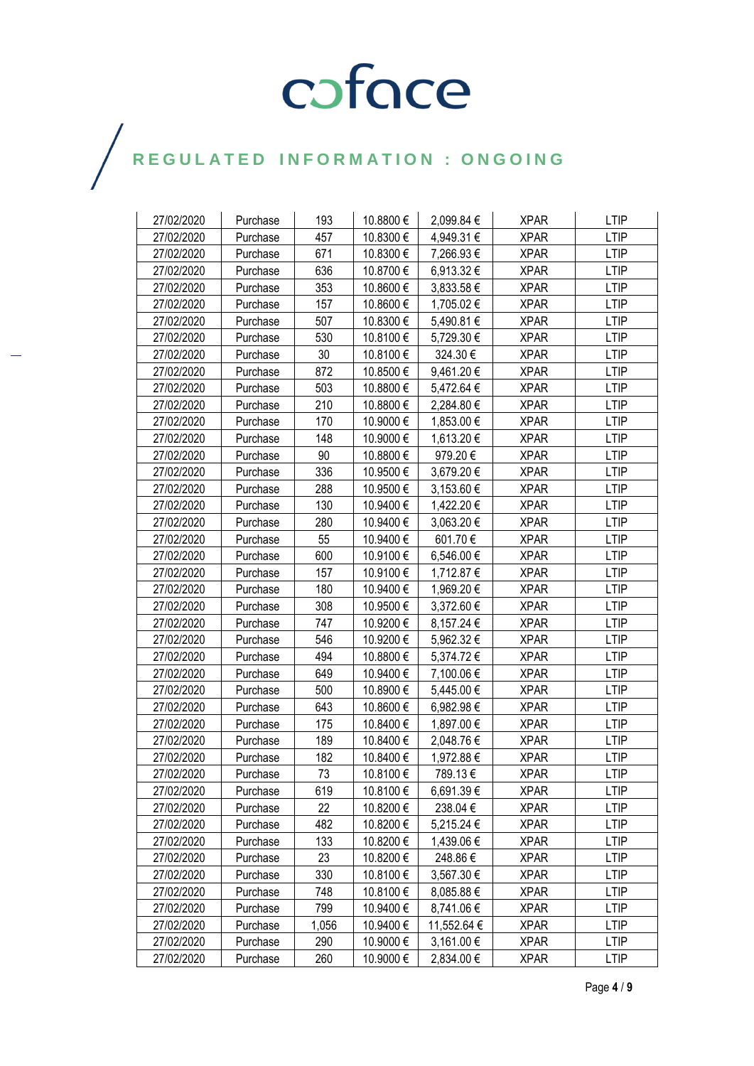| 27/02/2020 | Purchase | 193   | 10.8800 € | 2,099.84 €  | <b>XPAR</b> | <b>LTIP</b> |
|------------|----------|-------|-----------|-------------|-------------|-------------|
| 27/02/2020 | Purchase | 457   | 10.8300€  | 4,949.31 €  | <b>XPAR</b> | <b>LTIP</b> |
| 27/02/2020 | Purchase | 671   | 10.8300 € | 7,266.93 €  | <b>XPAR</b> | <b>LTIP</b> |
| 27/02/2020 | Purchase | 636   | 10.8700 € | 6,913.32 €  | <b>XPAR</b> | <b>LTIP</b> |
| 27/02/2020 | Purchase | 353   | 10.8600€  | 3,833.58 €  | <b>XPAR</b> | <b>LTIP</b> |
| 27/02/2020 | Purchase | 157   | 10.8600€  | 1,705.02 €  | <b>XPAR</b> | <b>LTIP</b> |
| 27/02/2020 | Purchase | 507   | 10.8300 € | 5,490.81 €  | <b>XPAR</b> | <b>LTIP</b> |
| 27/02/2020 | Purchase | 530   | 10.8100 € | 5,729.30 €  | <b>XPAR</b> | <b>LTIP</b> |
| 27/02/2020 | Purchase | 30    | 10.8100 € | 324.30€     | <b>XPAR</b> | <b>LTIP</b> |
| 27/02/2020 | Purchase | 872   | 10.8500 € | 9,461.20 €  | <b>XPAR</b> | <b>LTIP</b> |
| 27/02/2020 | Purchase | 503   | 10.8800€  | 5,472.64 €  | <b>XPAR</b> | <b>LTIP</b> |
| 27/02/2020 | Purchase | 210   | 10.8800€  | 2,284.80 €  | <b>XPAR</b> | <b>LTIP</b> |
| 27/02/2020 | Purchase | 170   | 10.9000€  | 1,853.00 €  | <b>XPAR</b> | <b>LTIP</b> |
| 27/02/2020 | Purchase | 148   | 10.9000€  | 1,613.20 €  | <b>XPAR</b> | <b>LTIP</b> |
| 27/02/2020 | Purchase | 90    | 10.8800 € | 979.20€     | <b>XPAR</b> | <b>LTIP</b> |
| 27/02/2020 | Purchase | 336   | 10.9500 € | 3,679.20 €  | <b>XPAR</b> | <b>LTIP</b> |
| 27/02/2020 | Purchase | 288   | 10.9500 € | 3,153.60 €  | <b>XPAR</b> | <b>LTIP</b> |
| 27/02/2020 | Purchase | 130   | 10.9400€  | 1,422.20 €  | <b>XPAR</b> | <b>LTIP</b> |
| 27/02/2020 | Purchase | 280   | 10.9400 € | 3,063.20 €  | <b>XPAR</b> | <b>LTIP</b> |
| 27/02/2020 | Purchase | 55    | 10.9400€  | 601.70€     | <b>XPAR</b> | <b>LTIP</b> |
| 27/02/2020 | Purchase | 600   | 10.9100€  | 6,546.00 €  | <b>XPAR</b> | <b>LTIP</b> |
| 27/02/2020 | Purchase | 157   | 10.9100€  | 1,712.87 €  | <b>XPAR</b> | <b>LTIP</b> |
| 27/02/2020 | Purchase | 180   | 10.9400€  | 1,969.20 €  | <b>XPAR</b> | <b>LTIP</b> |
| 27/02/2020 | Purchase | 308   | 10.9500€  | 3,372.60 €  | <b>XPAR</b> | <b>LTIP</b> |
| 27/02/2020 | Purchase | 747   | 10.9200 € | 8,157.24 €  | <b>XPAR</b> | <b>LTIP</b> |
| 27/02/2020 | Purchase | 546   | 10.9200 € | 5,962.32 €  | <b>XPAR</b> | <b>LTIP</b> |
| 27/02/2020 | Purchase | 494   | 10.8800 € | 5,374.72 €  | <b>XPAR</b> | <b>LTIP</b> |
| 27/02/2020 | Purchase | 649   | 10.9400 € | 7,100.06 €  | <b>XPAR</b> | <b>LTIP</b> |
| 27/02/2020 | Purchase | 500   | 10.8900€  | 5,445.00 €  | <b>XPAR</b> | <b>LTIP</b> |
| 27/02/2020 | Purchase | 643   | 10.8600€  | 6,982.98€   | <b>XPAR</b> | <b>LTIP</b> |
| 27/02/2020 | Purchase | 175   | 10.8400 € | 1,897.00 €  | <b>XPAR</b> | LTIP        |
| 27/02/2020 | Purchase | 189   | 10.8400 € | 2,048.76 €  | <b>XPAR</b> | <b>LTIP</b> |
| 27/02/2020 | Purchase | 182   | 10.8400€  | 1,972.88 €  | <b>XPAR</b> | LTIP        |
| 27/02/2020 | Purchase | 73    | 10.8100 € | 789.13€     | <b>XPAR</b> | <b>LTIP</b> |
| 27/02/2020 | Purchase | 619   | 10.8100 € | 6,691.39 €  | <b>XPAR</b> | <b>LTIP</b> |
| 27/02/2020 | Purchase | 22    | 10.8200 € | 238.04 €    | <b>XPAR</b> | <b>LTIP</b> |
| 27/02/2020 | Purchase | 482   | 10.8200 € | 5,215.24 €  | <b>XPAR</b> | <b>LTIP</b> |
| 27/02/2020 | Purchase | 133   | 10.8200 € | 1,439.06 €  | <b>XPAR</b> | <b>LTIP</b> |
| 27/02/2020 | Purchase | 23    | 10.8200 € | 248.86€     | <b>XPAR</b> | <b>LTIP</b> |
| 27/02/2020 | Purchase | 330   | 10.8100 € | 3,567.30 €  | <b>XPAR</b> | <b>LTIP</b> |
| 27/02/2020 | Purchase | 748   | 10.8100€  | 8,085.88 €  | <b>XPAR</b> | <b>LTIP</b> |
| 27/02/2020 | Purchase | 799   | 10.9400 € | 8,741.06 €  | <b>XPAR</b> | <b>LTIP</b> |
| 27/02/2020 | Purchase | 1,056 | 10.9400€  | 11,552.64 € | <b>XPAR</b> | LTIP        |
| 27/02/2020 | Purchase | 290   | 10.9000 € | 3,161.00 €  | <b>XPAR</b> | <b>LTIP</b> |
| 27/02/2020 | Purchase | 260   | 10.9000 € | 2,834.00 €  | <b>XPAR</b> | LTIP        |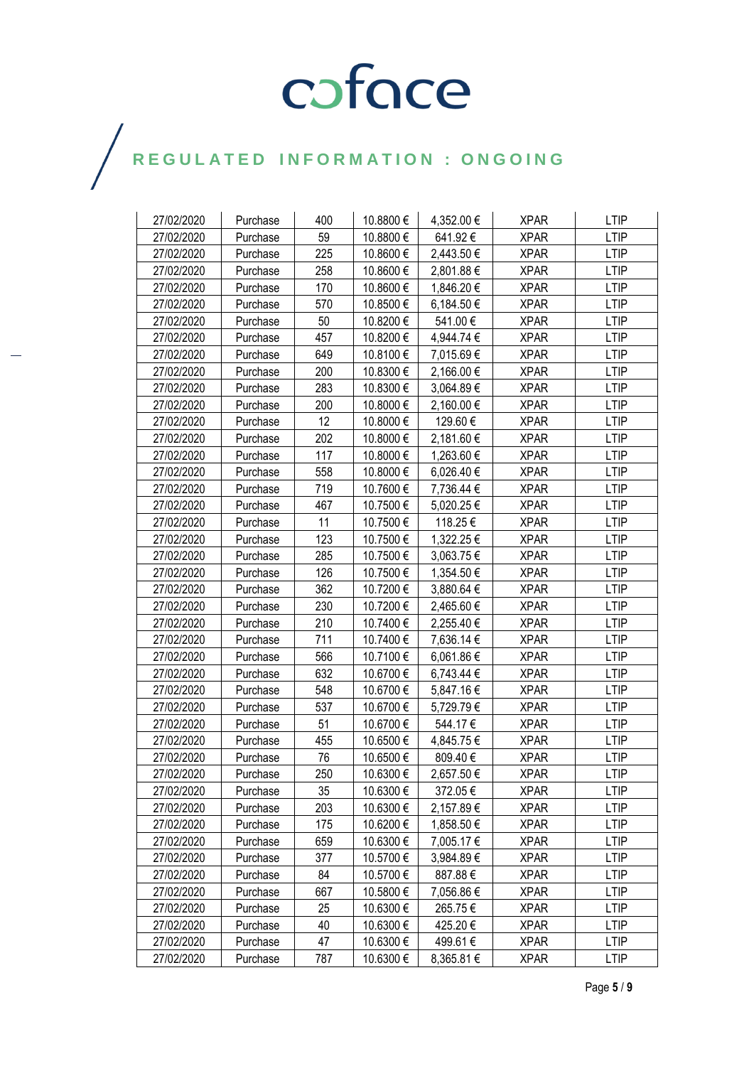| 27/02/2020 | Purchase | 400 | 10.8800 € | 4,352.00 € | <b>XPAR</b> | <b>LTIP</b> |
|------------|----------|-----|-----------|------------|-------------|-------------|
| 27/02/2020 | Purchase | 59  | 10.8800 € | 641.92€    | <b>XPAR</b> | <b>LTIP</b> |
| 27/02/2020 | Purchase | 225 | 10.8600 € | 2,443.50 € | <b>XPAR</b> | <b>LTIP</b> |
| 27/02/2020 | Purchase | 258 | 10.8600€  | 2,801.88 € | <b>XPAR</b> | <b>LTIP</b> |
| 27/02/2020 | Purchase | 170 | 10.8600€  | 1,846.20 € | <b>XPAR</b> | <b>LTIP</b> |
| 27/02/2020 | Purchase | 570 | 10.8500€  | 6,184.50 € | <b>XPAR</b> | <b>LTIP</b> |
| 27/02/2020 | Purchase | 50  | 10.8200 € | 541.00€    | <b>XPAR</b> | <b>LTIP</b> |
| 27/02/2020 | Purchase | 457 | 10.8200 € | 4,944.74 € | <b>XPAR</b> | <b>LTIP</b> |
| 27/02/2020 | Purchase | 649 | 10.8100 € | 7,015.69€  | <b>XPAR</b> | <b>LTIP</b> |
| 27/02/2020 | Purchase | 200 | 10.8300 € | 2,166.00 € | <b>XPAR</b> | <b>LTIP</b> |
| 27/02/2020 | Purchase | 283 | 10.8300€  | 3,064.89 € | <b>XPAR</b> | <b>LTIP</b> |
| 27/02/2020 | Purchase | 200 | 10.8000 € | 2,160.00 € | <b>XPAR</b> | <b>LTIP</b> |
| 27/02/2020 | Purchase | 12  | 10.8000€  | 129.60€    | <b>XPAR</b> | <b>LTIP</b> |
| 27/02/2020 | Purchase | 202 | 10.8000€  | 2,181.60 € | <b>XPAR</b> | <b>LTIP</b> |
| 27/02/2020 | Purchase | 117 | 10.8000€  | 1,263.60 € | <b>XPAR</b> | <b>LTIP</b> |
| 27/02/2020 | Purchase | 558 | 10.8000 € | 6,026.40 € | <b>XPAR</b> | <b>LTIP</b> |
| 27/02/2020 | Purchase | 719 | 10.7600 € | 7,736.44 € | <b>XPAR</b> | <b>LTIP</b> |
| 27/02/2020 | Purchase | 467 | 10.7500€  | 5,020.25€  | <b>XPAR</b> | <b>LTIP</b> |
| 27/02/2020 | Purchase | 11  | 10.7500€  | 118.25€    | <b>XPAR</b> | <b>LTIP</b> |
| 27/02/2020 | Purchase | 123 | 10.7500€  | 1,322.25 € | <b>XPAR</b> | <b>LTIP</b> |
| 27/02/2020 | Purchase | 285 | 10.7500€  | 3,063.75 € | <b>XPAR</b> | <b>LTIP</b> |
| 27/02/2020 | Purchase | 126 | 10.7500€  | 1,354.50 € | <b>XPAR</b> | <b>LTIP</b> |
| 27/02/2020 | Purchase | 362 | 10.7200€  | 3,880.64 € | <b>XPAR</b> | <b>LTIP</b> |
| 27/02/2020 | Purchase | 230 | 10.7200€  | 2,465.60 € | <b>XPAR</b> | <b>LTIP</b> |
| 27/02/2020 | Purchase | 210 | 10.7400 € | 2,255.40 € | <b>XPAR</b> | <b>LTIP</b> |
| 27/02/2020 | Purchase | 711 | 10.7400 € | 7,636.14 € | <b>XPAR</b> | <b>LTIP</b> |
| 27/02/2020 | Purchase | 566 | 10.7100 € | 6,061.86 € | <b>XPAR</b> | <b>LTIP</b> |
| 27/02/2020 | Purchase | 632 | 10.6700 € | 6,743.44 € | <b>XPAR</b> | <b>LTIP</b> |
| 27/02/2020 | Purchase | 548 | 10.6700€  | 5,847.16 € | <b>XPAR</b> | <b>LTIP</b> |
| 27/02/2020 | Purchase | 537 | 10.6700€  | 5,729.79€  | <b>XPAR</b> | <b>LTIP</b> |
| 27/02/2020 | Purchase | 51  | 10.6700 € | 544.17€    | <b>XPAR</b> | LTIP        |
| 27/02/2020 | Purchase | 455 | 10.6500 € | 4,845.75 € | <b>XPAR</b> | <b>LTIP</b> |
| 27/02/2020 | Purchase | 76  | 10.6500€  | 809.40€    | <b>XPAR</b> | LTIP        |
| 27/02/2020 | Purchase | 250 | 10.6300 € | 2,657.50 € | <b>XPAR</b> | <b>LTIP</b> |
| 27/02/2020 | Purchase | 35  | 10.6300 € | 372.05€    | <b>XPAR</b> | <b>LTIP</b> |
| 27/02/2020 | Purchase | 203 | 10.6300 € | 2,157.89 € | <b>XPAR</b> | <b>LTIP</b> |
| 27/02/2020 | Purchase | 175 | 10.6200€  | 1,858.50 € | <b>XPAR</b> | <b>LTIP</b> |
| 27/02/2020 | Purchase | 659 | 10.6300 € | 7,005.17 € | <b>XPAR</b> | <b>LTIP</b> |
| 27/02/2020 | Purchase | 377 | 10.5700 € | 3,984.89€  | <b>XPAR</b> | <b>LTIP</b> |
| 27/02/2020 | Purchase | 84  | 10.5700 € | 887.88€    | <b>XPAR</b> | <b>LTIP</b> |
| 27/02/2020 | Purchase | 667 | 10.5800 € | 7,056.86 € | <b>XPAR</b> | <b>LTIP</b> |
| 27/02/2020 | Purchase | 25  | 10.6300 € | 265.75€    | <b>XPAR</b> | <b>LTIP</b> |
| 27/02/2020 | Purchase | 40  | 10.6300 € | 425.20€    | <b>XPAR</b> | <b>LTIP</b> |
| 27/02/2020 | Purchase | 47  | 10.6300 € | 499.61 €   | <b>XPAR</b> | <b>LTIP</b> |
| 27/02/2020 | Purchase | 787 | 10.6300 € | 8,365.81 € | <b>XPAR</b> | <b>LTIP</b> |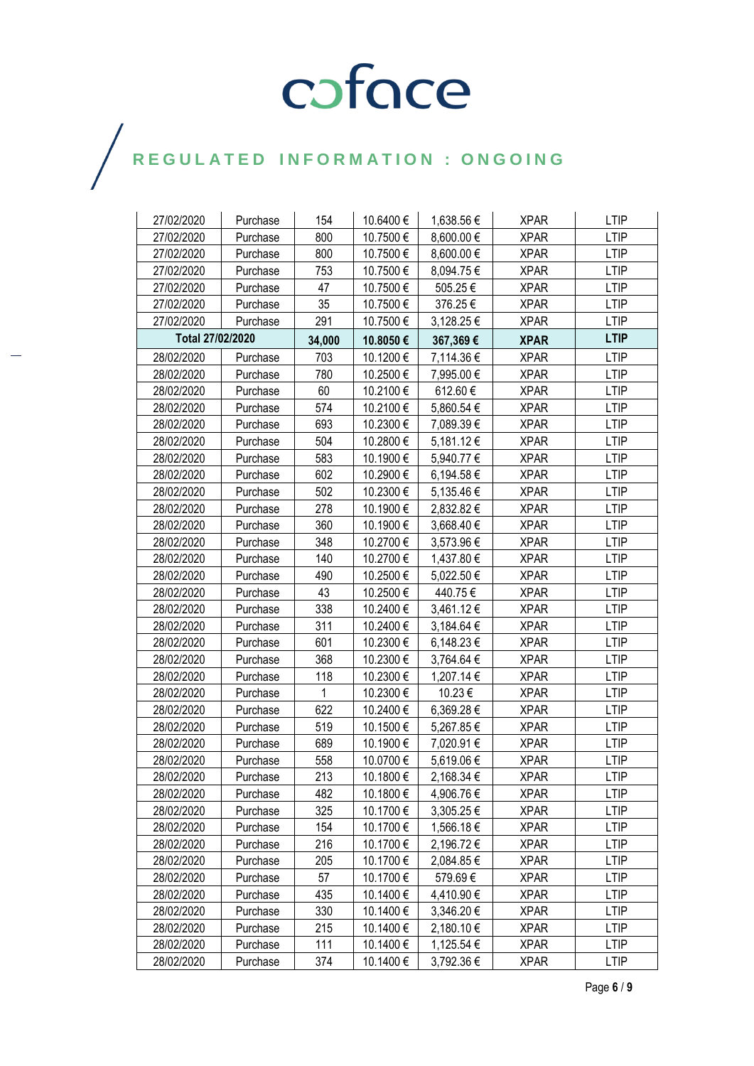| 27/02/2020       | Purchase | 154    | 10.6400 € | 1,638.56 €     | <b>XPAR</b> | <b>LTIP</b> |
|------------------|----------|--------|-----------|----------------|-------------|-------------|
| 27/02/2020       | Purchase | 800    | 10.7500€  | 8,600.00 €     | <b>XPAR</b> | <b>LTIP</b> |
| 27/02/2020       | Purchase | 800    | 10.7500€  | 8,600.00 €     | <b>XPAR</b> | <b>LTIP</b> |
| 27/02/2020       | Purchase | 753    | 10.7500€  | 8,094.75€      | <b>XPAR</b> | <b>LTIP</b> |
| 27/02/2020       | Purchase | 47     | 10.7500€  | 505.25€        | <b>XPAR</b> | LTIP        |
| 27/02/2020       | Purchase | 35     | 10.7500€  | 376.25€        | <b>XPAR</b> | <b>LTIP</b> |
| 27/02/2020       | Purchase | 291    | 10.7500€  | 3,128.25 €     | <b>XPAR</b> | <b>LTIP</b> |
| Total 27/02/2020 |          | 34,000 | 10.8050€  | 367,369€       | <b>XPAR</b> | <b>LTIP</b> |
| 28/02/2020       | Purchase | 703    | 10.1200€  | 7,114.36 €     | <b>XPAR</b> | <b>LTIP</b> |
| 28/02/2020       | Purchase | 780    | 10.2500€  | 7,995.00 €     | <b>XPAR</b> | <b>LTIP</b> |
| 28/02/2020       | Purchase | 60     | 10.2100€  | 612.60€        | <b>XPAR</b> | <b>LTIP</b> |
| 28/02/2020       | Purchase | 574    | 10.2100€  | 5,860.54 €     | <b>XPAR</b> | <b>LTIP</b> |
| 28/02/2020       | Purchase | 693    | 10.2300€  | 7,089.39€      | <b>XPAR</b> | <b>LTIP</b> |
| 28/02/2020       | Purchase | 504    | 10.2800€  | 5,181.12 €     | <b>XPAR</b> | <b>LTIP</b> |
| 28/02/2020       | Purchase | 583    | 10.1900€  | 5,940.77 €     | <b>XPAR</b> | <b>LTIP</b> |
| 28/02/2020       | Purchase | 602    | 10.2900€  | 6,194.58 €     | <b>XPAR</b> | <b>LTIP</b> |
| 28/02/2020       | Purchase | 502    | 10.2300€  | $5,135.46 \in$ | <b>XPAR</b> | <b>LTIP</b> |
| 28/02/2020       | Purchase | 278    | 10.1900€  | 2,832.82 €     | <b>XPAR</b> | <b>LTIP</b> |
| 28/02/2020       | Purchase | 360    | 10.1900€  | 3,668.40 €     | <b>XPAR</b> | <b>LTIP</b> |
| 28/02/2020       | Purchase | 348    | 10.2700€  | 3,573.96 €     | <b>XPAR</b> | <b>LTIP</b> |
| 28/02/2020       | Purchase | 140    | 10.2700€  | 1,437.80 €     | <b>XPAR</b> | <b>LTIP</b> |
| 28/02/2020       | Purchase | 490    | 10.2500€  | 5,022.50 €     | <b>XPAR</b> | LTIP        |
| 28/02/2020       | Purchase | 43     | 10.2500€  | 440.75€        | <b>XPAR</b> | <b>LTIP</b> |
| 28/02/2020       | Purchase | 338    | 10.2400€  | 3,461.12€      | <b>XPAR</b> | <b>LTIP</b> |
| 28/02/2020       | Purchase | 311    | 10.2400€  | 3,184.64 €     | <b>XPAR</b> | <b>LTIP</b> |
| 28/02/2020       | Purchase | 601    | 10.2300€  | 6,148.23€      | <b>XPAR</b> | <b>LTIP</b> |
| 28/02/2020       | Purchase | 368    | 10.2300€  | 3,764.64 €     | <b>XPAR</b> | <b>LTIP</b> |
| 28/02/2020       | Purchase | 118    | 10.2300€  | 1,207.14 €     | <b>XPAR</b> | <b>LTIP</b> |
| 28/02/2020       | Purchase | 1      | 10.2300€  | 10.23€         | <b>XPAR</b> | <b>LTIP</b> |
| 28/02/2020       | Purchase | 622    | 10.2400€  | 6,369.28€      | <b>XPAR</b> | <b>LTIP</b> |
| 28/02/2020       | Purchase | 519    | 10.1500€  | 5,267.85€      | <b>XPAR</b> | <b>LTIP</b> |
| 28/02/2020       | Purchase | 689    | 10.1900€  | 7,020.91 €     | <b>XPAR</b> | <b>LTIP</b> |
| 28/02/2020       | Purchase | 558    | 10.0700€  | 5,619.06€      | <b>XPAR</b> | <b>LTIP</b> |
| 28/02/2020       | Purchase | 213    | 10.1800€  | 2,168.34 €     | <b>XPAR</b> | <b>LTIP</b> |
| 28/02/2020       | Purchase | 482    | 10.1800 € | 4,906.76 €     | <b>XPAR</b> | <b>LTIP</b> |
| 28/02/2020       | Purchase | 325    | 10.1700€  | 3,305.25 €     | <b>XPAR</b> | <b>LTIP</b> |
| 28/02/2020       | Purchase | 154    | 10.1700€  | 1,566.18€      | <b>XPAR</b> | <b>LTIP</b> |
| 28/02/2020       | Purchase | 216    | 10.1700 € | 2,196.72 €     | <b>XPAR</b> | <b>LTIP</b> |
| 28/02/2020       | Purchase | 205    | 10.1700€  | 2,084.85 €     | <b>XPAR</b> | LTIP        |
| 28/02/2020       | Purchase | 57     | 10.1700€  | 579.69€        | <b>XPAR</b> | <b>LTIP</b> |
| 28/02/2020       | Purchase | 435    | 10.1400 € | 4,410.90 €     | <b>XPAR</b> | <b>LTIP</b> |
| 28/02/2020       | Purchase | 330    | 10.1400 € | 3,346.20 €     | <b>XPAR</b> | <b>LTIP</b> |
| 28/02/2020       | Purchase | 215    | 10.1400€  | 2,180.10 €     | <b>XPAR</b> | <b>LTIP</b> |
| 28/02/2020       | Purchase | 111    | 10.1400 € | 1,125.54 €     | <b>XPAR</b> | LTIP        |
| 28/02/2020       | Purchase | 374    | 10.1400 € | 3,792.36 €     | <b>XPAR</b> | <b>LTIP</b> |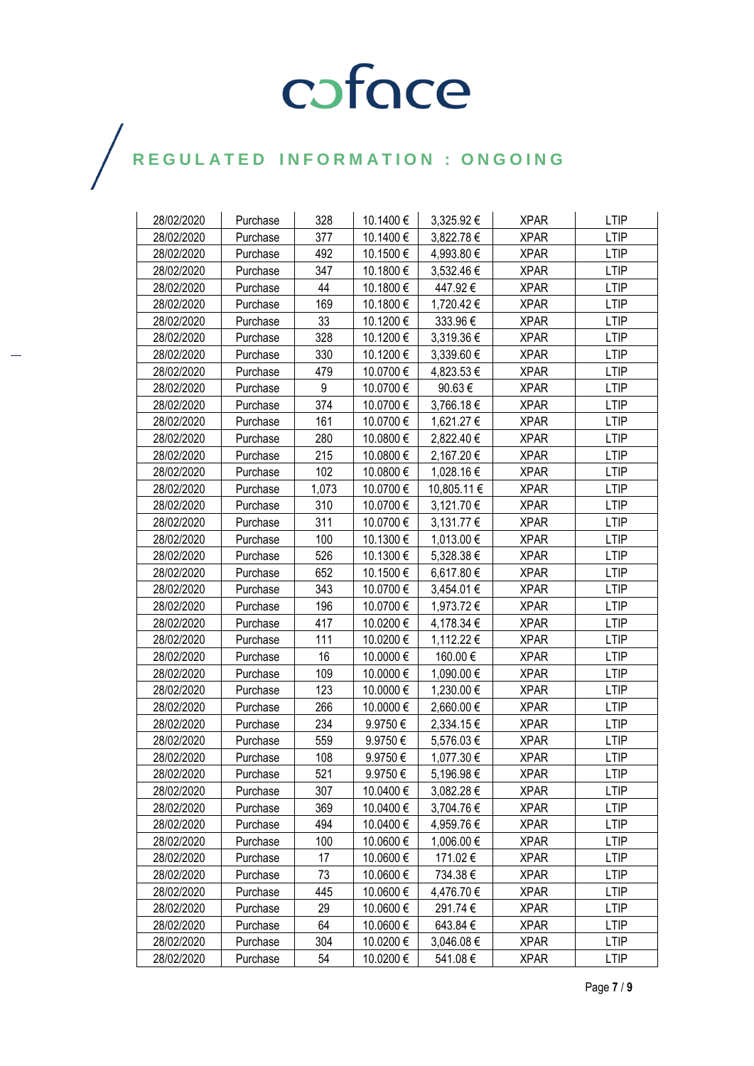| 28/02/2020 | Purchase | 328   | 10.1400 € | 3,325.92 €  | <b>XPAR</b> | <b>LTIP</b> |
|------------|----------|-------|-----------|-------------|-------------|-------------|
| 28/02/2020 | Purchase | 377   | 10.1400€  | 3,822.78 €  | <b>XPAR</b> | <b>LTIP</b> |
| 28/02/2020 | Purchase | 492   | 10.1500 € | 4,993.80 €  | <b>XPAR</b> | <b>LTIP</b> |
| 28/02/2020 | Purchase | 347   | 10.1800€  | 3,532.46 €  | <b>XPAR</b> | <b>LTIP</b> |
| 28/02/2020 | Purchase | 44    | 10.1800€  | 447.92€     | <b>XPAR</b> | <b>LTIP</b> |
| 28/02/2020 | Purchase | 169   | 10.1800€  | 1,720.42 €  | <b>XPAR</b> | <b>LTIP</b> |
| 28/02/2020 | Purchase | 33    | 10.1200 € | 333.96€     | <b>XPAR</b> | <b>LTIP</b> |
| 28/02/2020 | Purchase | 328   | 10.1200 € | 3,319.36 €  | <b>XPAR</b> | <b>LTIP</b> |
| 28/02/2020 | Purchase | 330   | 10.1200€  | 3,339.60 €  | <b>XPAR</b> | <b>LTIP</b> |
| 28/02/2020 | Purchase | 479   | 10.0700€  | 4,823.53€   | <b>XPAR</b> | <b>LTIP</b> |
| 28/02/2020 | Purchase | 9     | 10.0700€  | 90.63€      | <b>XPAR</b> | <b>LTIP</b> |
| 28/02/2020 | Purchase | 374   | 10.0700€  | 3,766.18€   | <b>XPAR</b> | <b>LTIP</b> |
| 28/02/2020 | Purchase | 161   | 10.0700€  | 1,621.27 €  | <b>XPAR</b> | <b>LTIP</b> |
| 28/02/2020 | Purchase | 280   | 10.0800€  | 2,822.40 €  | <b>XPAR</b> | <b>LTIP</b> |
| 28/02/2020 | Purchase | 215   | 10.0800€  | 2,167.20 €  | <b>XPAR</b> | <b>LTIP</b> |
| 28/02/2020 | Purchase | 102   | 10.0800 € | 1,028.16 €  | <b>XPAR</b> | <b>LTIP</b> |
| 28/02/2020 | Purchase | 1,073 | 10.0700 € | 10,805.11 € | <b>XPAR</b> | <b>LTIP</b> |
| 28/02/2020 | Purchase | 310   | 10.0700€  | 3,121.70 €  | <b>XPAR</b> | <b>LTIP</b> |
| 28/02/2020 | Purchase | 311   | 10.0700€  | 3,131.77 €  | <b>XPAR</b> | <b>LTIP</b> |
| 28/02/2020 | Purchase | 100   | 10.1300€  | 1,013.00 €  | <b>XPAR</b> | <b>LTIP</b> |
| 28/02/2020 | Purchase | 526   | 10.1300€  | 5,328.38 €  | <b>XPAR</b> | <b>LTIP</b> |
| 28/02/2020 | Purchase | 652   | 10.1500€  | 6,617.80 €  | <b>XPAR</b> | <b>LTIP</b> |
| 28/02/2020 | Purchase | 343   | 10.0700€  | 3,454.01 €  | <b>XPAR</b> | <b>LTIP</b> |
| 28/02/2020 | Purchase | 196   | 10.0700€  | 1,973.72 €  | <b>XPAR</b> | <b>LTIP</b> |
| 28/02/2020 | Purchase | 417   | 10.0200 € | 4,178.34 €  | <b>XPAR</b> | <b>LTIP</b> |
| 28/02/2020 | Purchase | 111   | 10.0200€  | 1,112.22 €  | <b>XPAR</b> | <b>LTIP</b> |
| 28/02/2020 | Purchase | 16    | 10.0000 € | 160.00€     | <b>XPAR</b> | <b>LTIP</b> |
| 28/02/2020 | Purchase | 109   | 10.0000 € | 1,090.00 €  | <b>XPAR</b> | <b>LTIP</b> |
| 28/02/2020 | Purchase | 123   | 10.0000 € | 1,230.00 €  | <b>XPAR</b> | <b>LTIP</b> |
| 28/02/2020 | Purchase | 266   | 10.0000 € | 2,660.00 €  | <b>XPAR</b> | <b>LTIP</b> |
| 28/02/2020 | Purchase | 234   | 9.9750€   | 2,334.15 €  | <b>XPAR</b> | LTIP        |
| 28/02/2020 | Purchase | 559   | 9.9750€   | 5,576.03 €  | <b>XPAR</b> | <b>LTIP</b> |
| 28/02/2020 | Purchase | 108   | 9.9750€   | 1,077.30 €  | <b>XPAR</b> | LTIP        |
| 28/02/2020 | Purchase | 521   | 9.9750€   | 5,196.98€   | <b>XPAR</b> | <b>LTIP</b> |
| 28/02/2020 | Purchase | 307   | 10.0400 € | 3,082.28 €  | <b>XPAR</b> | <b>LTIP</b> |
| 28/02/2020 | Purchase | 369   | 10.0400 € | 3,704.76 €  | <b>XPAR</b> | <b>LTIP</b> |
| 28/02/2020 | Purchase | 494   | 10.0400 € | 4,959.76 €  | <b>XPAR</b> | <b>LTIP</b> |
| 28/02/2020 | Purchase | 100   | 10.0600€  | 1,006.00 €  | <b>XPAR</b> | <b>LTIP</b> |
| 28/02/2020 | Purchase | 17    | 10.0600 € | 171.02€     | <b>XPAR</b> | <b>LTIP</b> |
| 28/02/2020 | Purchase | 73    | 10.0600 € | 734.38€     | <b>XPAR</b> | <b>LTIP</b> |
| 28/02/2020 | Purchase | 445   | 10.0600 € | 4,476.70 €  | <b>XPAR</b> | <b>LTIP</b> |
| 28/02/2020 | Purchase | 29    | 10.0600€  | 291.74€     | <b>XPAR</b> | <b>LTIP</b> |
| 28/02/2020 | Purchase | 64    | 10.0600€  | 643.84€     | <b>XPAR</b> | <b>LTIP</b> |
| 28/02/2020 | Purchase | 304   | 10.0200 € | 3,046.08 €  | <b>XPAR</b> | <b>LTIP</b> |
| 28/02/2020 | Purchase | 54    | 10.0200 € | 541.08€     | <b>XPAR</b> | LTIP        |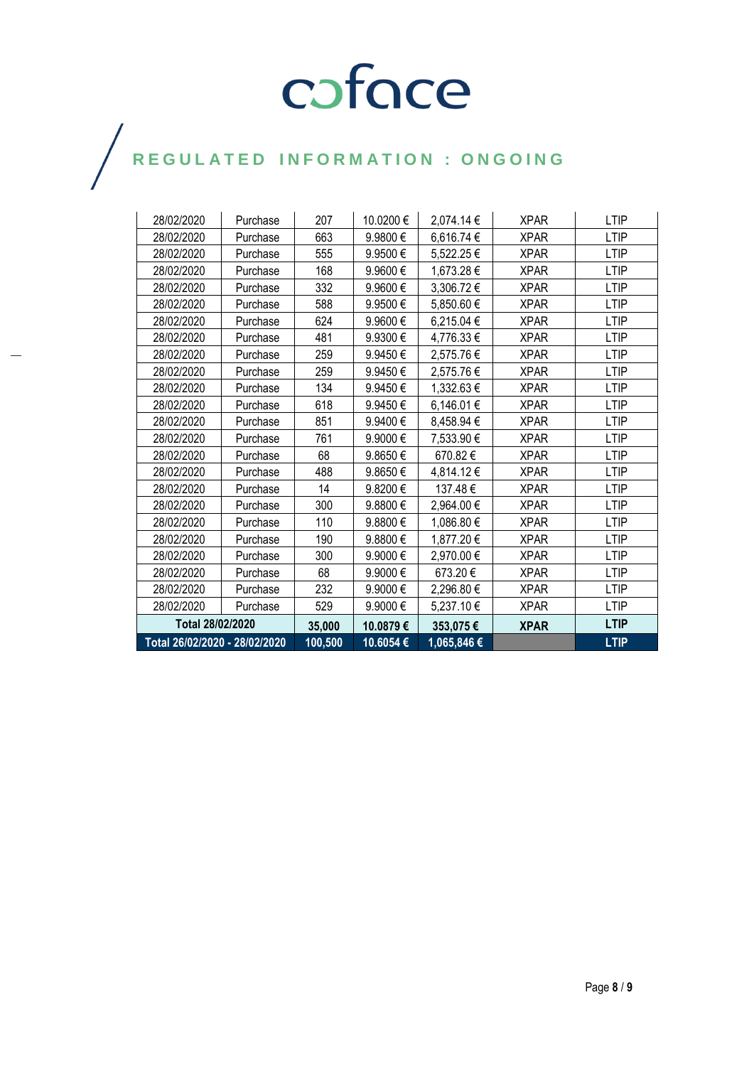| Total 26/02/2020 - 28/02/2020 |          | 100,500 | 10.6054€  | 1,065,846€ |             | <b>LTIP</b> |
|-------------------------------|----------|---------|-----------|------------|-------------|-------------|
| Total 28/02/2020              |          | 35,000  | 10.0879€  | 353,075€   | <b>XPAR</b> | <b>LTIP</b> |
| 28/02/2020                    | Purchase | 529     | 9.9000€   | 5,237.10 € | <b>XPAR</b> | LTIP        |
| 28/02/2020                    | Purchase | 232     | 9.9000€   | 2,296.80 € | <b>XPAR</b> | LTIP        |
| 28/02/2020                    | Purchase | 68      | 9.9000€   | 673.20€    | <b>XPAR</b> | <b>LTIP</b> |
| 28/02/2020                    | Purchase | 300     | 9.9000€   | 2,970.00 € | <b>XPAR</b> | LTIP        |
| 28/02/2020                    | Purchase | 190     | 9.8800€   | 1,877.20 € | <b>XPAR</b> | LTIP        |
| 28/02/2020                    | Purchase | 110     | 9.8800€   | 1,086.80 € | <b>XPAR</b> | <b>LTIP</b> |
| 28/02/2020                    | Purchase | 300     | 9.8800€   | 2,964.00 € | <b>XPAR</b> | LTIP        |
| 28/02/2020                    | Purchase | 14      | 9.8200€   | 137.48€    | <b>XPAR</b> | LTIP        |
| 28/02/2020                    | Purchase | 488     | 9.8650€   | 4,814.12€  | <b>XPAR</b> | LTIP        |
| 28/02/2020                    | Purchase | 68      | 9.8650€   | 670.82€    | <b>XPAR</b> | LTIP        |
| 28/02/2020                    | Purchase | 761     | 9.9000€   | 7,533.90 € | <b>XPAR</b> | <b>LTIP</b> |
| 28/02/2020                    | Purchase | 851     | 9.9400€   | 8,458.94 € | <b>XPAR</b> | LTIP        |
| 28/02/2020                    | Purchase | 618     | 9.9450€   | 6,146.01 € | <b>XPAR</b> | <b>LTIP</b> |
| 28/02/2020                    | Purchase | 134     | 9.9450€   | 1,332.63 € | <b>XPAR</b> | <b>LTIP</b> |
| 28/02/2020                    | Purchase | 259     | 9.9450€   | 2,575.76 € | <b>XPAR</b> | <b>LTIP</b> |
| 28/02/2020                    | Purchase | 259     | 9.9450€   | 2,575.76€  | <b>XPAR</b> | LTIP        |
| 28/02/2020                    | Purchase | 481     | 9.9300€   | 4,776.33 € | <b>XPAR</b> | <b>LTIP</b> |
| 28/02/2020                    | Purchase | 624     | 9.9600€   | 6,215.04 € | <b>XPAR</b> | LTIP        |
| 28/02/2020                    | Purchase | 588     | 9.9500€   | 5,850.60 € | <b>XPAR</b> | LTIP        |
| 28/02/2020                    | Purchase | 332     | 9.9600€   | 3,306.72 € | <b>XPAR</b> | <b>LTIP</b> |
| 28/02/2020                    | Purchase | 168     | 9.9600€   | 1,673.28 € | <b>XPAR</b> | LTIP        |
| 28/02/2020                    | Purchase | 555     | 9.9500€   | 5,522.25€  | <b>XPAR</b> | LTIP        |
| 28/02/2020                    | Purchase | 663     | 9.9800€   | 6,616.74 € | <b>XPAR</b> | LTIP        |
| 28/02/2020                    | Purchase | 207     | 10.0200 € | 2,074.14 € | <b>XPAR</b> | <b>LTIP</b> |